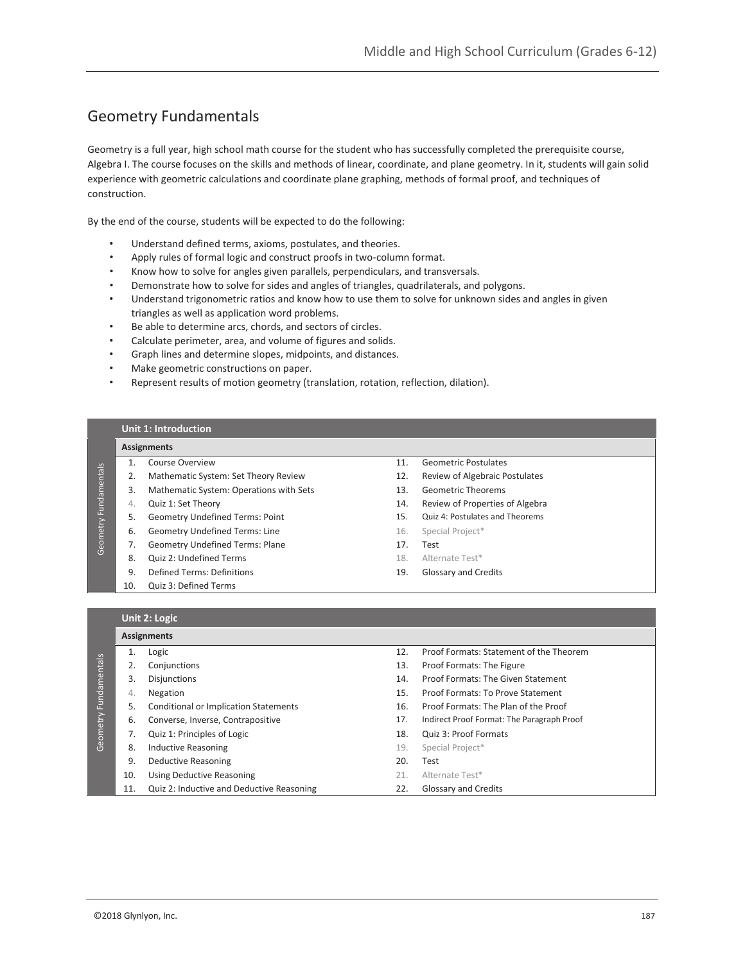# Geometry Fundamentals

Geometry is a full year, high school math course for the student who has successfully completed the prerequisite course, Algebra I. The course focuses on the skills and methods of linear, coordinate, and plane geometry. In it, students will gain solid experience with geometric calculations and coordinate plane graphing, methods of formal proof, and techniques of construction.

By the end of the course, students will be expected to do the following:

- Understand defined terms, axioms, postulates, and theories.
- Apply rules of formal logic and construct proofs in two-column format.
- Know how to solve for angles given parallels, perpendiculars, and transversals.
- Demonstrate how to solve for sides and angles of triangles, quadrilaterals, and polygons.
- Understand trigonometric ratios and know how to use them to solve for unknown sides and angles in given triangles as well as application word problems.
- Be able to determine arcs, chords, and sectors of circles.
- Calculate perimeter, area, and volume of figures and solids.
- Graph lines and determine slopes, midpoints, and distances.
- Make geometric constructions on paper.
- Represent results of motion geometry (translation, rotation, reflection, dilation).

# **Unit 1: Introduction**

#### **Assignments**

Geometry Fundamentals

Geometry Fundamentals

- 1. Course Overview
- 2. Mathematic System: Set Theory Review
- 3. Mathematic System: Operations with Sets
- 4. Quiz 1: Set Theory
- 5. Geometry Undefined Terms: Point
- 6. Geometry Undefined Terms: Line
- 7. Geometry Undefined Terms: Plane
- 8. Quiz 2: Undefined Terms
- 9. Defined Terms: Definitions
- 10. Quiz 3: Defined Terms
- 11. Geometric Postulates
- 12. Review of Algebraic Postulates
- 13. Geometric Theorems
- 14. Review of Properties of Algebra
- 15. Quiz 4: Postulates and Theorems
- 16. Special Project\*
- 17. Test
- 18. Alternate Test\*
- 19. Glossary and Credits

### **Unit 2: Logic**

|              |     | <b>Assignments</b>                        |     |                                            |  |  |
|--------------|-----|-------------------------------------------|-----|--------------------------------------------|--|--|
|              |     | Logic                                     | 12. | Proof Formats: Statement of the Theorem    |  |  |
|              |     | Conjunctions                              | 13. | Proof Formats: The Figure                  |  |  |
|              | 3.  | <b>Disjunctions</b>                       | 14. | Proof Formats: The Given Statement         |  |  |
| Fundamentals | 4.  | Negation                                  | 15. | Proof Formats: To Prove Statement          |  |  |
|              | 5.  | Conditional or Implication Statements     | 16. | Proof Formats: The Plan of the Proof       |  |  |
|              | 6.  | Converse, Inverse, Contrapositive         | 17. | Indirect Proof Format: The Paragraph Proof |  |  |
| Geometry     |     | Quiz 1: Principles of Logic               | 18. | Quiz 3: Proof Formats                      |  |  |
|              | 8.  | <b>Inductive Reasoning</b>                | 19. | Special Project*                           |  |  |
|              | 9.  | Deductive Reasoning                       | 20. | Test                                       |  |  |
|              | 10. | <b>Using Deductive Reasoning</b>          | 21. | Alternate Test*                            |  |  |
|              | 11. | Quiz 2: Inductive and Deductive Reasoning | 22. | <b>Glossary and Credits</b>                |  |  |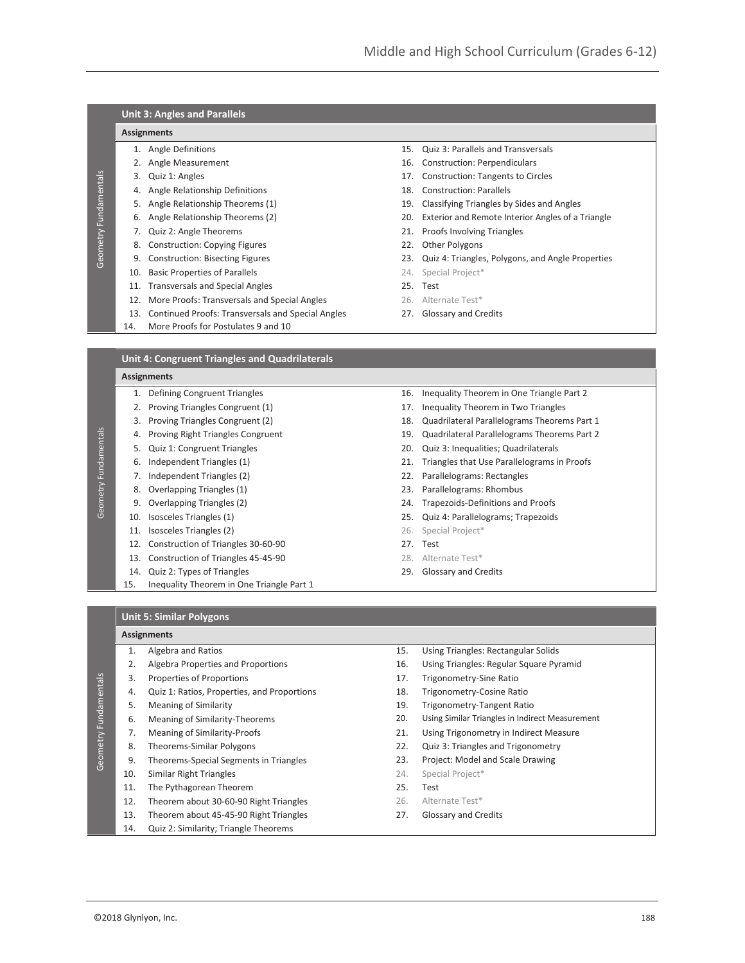| <b>Unit 3: Angles and Parallels</b> |                                                       |     |                                                   |  |  |
|-------------------------------------|-------------------------------------------------------|-----|---------------------------------------------------|--|--|
| <b>Assignments</b>                  |                                                       |     |                                                   |  |  |
|                                     | 1. Angle Definitions                                  | 15. | <b>Quiz 3: Parallels and Transversals</b>         |  |  |
| 2.                                  | Angle Measurement                                     | 16. | <b>Construction: Perpendiculars</b>               |  |  |
| 3.                                  | Quiz 1: Angles                                        | 17. | <b>Construction: Tangents to Circles</b>          |  |  |
| 4.                                  | Angle Relationship Definitions                        | 18. | <b>Construction: Parallels</b>                    |  |  |
| 5.                                  | Angle Relationship Theorems (1)                       | 19. | Classifying Triangles by Sides and Angles         |  |  |
| 6.                                  | Angle Relationship Theorems (2)                       | 20. | Exterior and Remote Interior Angles of a Triangle |  |  |
| 7.                                  | Quiz 2: Angle Theorems                                | 21. | <b>Proofs Involving Triangles</b>                 |  |  |
| 8.                                  | <b>Construction: Copying Figures</b>                  | 22. | Other Polygons                                    |  |  |
| 9.                                  | <b>Construction: Bisecting Figures</b>                | 23. | Quiz 4: Triangles, Polygons, and Angle Properties |  |  |
| 10.                                 | <b>Basic Properties of Parallels</b>                  | 24. | Special Project*                                  |  |  |
| 11.                                 | <b>Transversals and Special Angles</b>                | 25. | Test                                              |  |  |
| 12.                                 | More Proofs: Transversals and Special Angles          |     | 26. Alternate Test*                               |  |  |
| 13.                                 | Continued Proofs: Transversals and Special Angles     | 27. | Glossary and Credits                              |  |  |
| 14.                                 | More Proofs for Postulates 9 and 10                   |     |                                                   |  |  |
|                                     |                                                       |     |                                                   |  |  |
|                                     | <b>Unit 4: Congruent Triangles and Quadrilaterals</b> |     |                                                   |  |  |

#### **Assignments**

Geometry Fundamentals

Geometry Fundamentals

Geometry Fundamentals

Geometry Fundamentals

- 1. Defining Congruent Triangles 16. Inequality Theorem in One Triangle Part 2 2. Proving Triangles Congruent (1) 17. Inequality Theorem in Two Triangles 3. Proving Triangles Congruent (2) 18. Quadrilateral Parallelograms Theorems Part 1 4. Proving Right Triangles Congruent 19. Quadrilateral Parallelograms Theorems Part 2 5. Quiz 1: Congruent Triangles 20. Quiz 3: Inequalities; Quadrilaterals 6. Independent Triangles (1) 21. Triangles that Use Parallelograms in Proofs 7. Independent Triangles (2) 22. Parallelograms: Rectangles 8. Overlapping Triangles (1) 23. Parallelograms: Rhombus 9. Overlapping Triangles (2) 24. Trapezoids-Definitions and Proofs 10. Isosceles Triangles (1) 25. Quiz 4: Parallelograms; Trapezoids 11. **Isosceles Triangles (2)** 26. Special Project<sup>\*</sup> 12. Construction of Triangles 30-60-90 27. Test 13. Construction of Triangles 45-45-90 28. Alternate Test\* 14. Quiz 2: Types of Triangles 29. Glossary and Credits
- 15. Inequality Theorem in One Triangle Part 1
- 
- 
- 
- 
- 
- 
- 
- 
- 
- -
- 
- 
- 

#### **Unit 5: Similar Polygons**

|                       | <b>Assignments</b> |                                             |     |                                                 |  |
|-----------------------|--------------------|---------------------------------------------|-----|-------------------------------------------------|--|
|                       | 1.                 | Algebra and Ratios                          | 15. | Using Triangles: Rectangular Solids             |  |
|                       | 2.                 | Algebra Properties and Proportions          | 16. | Using Triangles: Regular Square Pyramid         |  |
|                       | 3.                 | Properties of Proportions                   | 17. | Trigonometry-Sine Ratio                         |  |
| Geometry Fundamentals | 4.                 | Quiz 1: Ratios, Properties, and Proportions | 18. | Trigonometry-Cosine Ratio                       |  |
|                       | 5.                 | <b>Meaning of Similarity</b>                | 19. | Trigonometry-Tangent Ratio                      |  |
|                       | 6.                 | Meaning of Similarity-Theorems              | 20. | Using Similar Triangles in Indirect Measurement |  |
|                       | 7.                 | Meaning of Similarity-Proofs                | 21. | Using Trigonometry in Indirect Measure          |  |
|                       | 8.                 | Theorems-Similar Polygons                   | 22. | Quiz 3: Triangles and Trigonometry              |  |
|                       | 9.                 | Theorems-Special Segments in Triangles      | 23. | Project: Model and Scale Drawing                |  |
|                       | 10.                | Similar Right Triangles                     | 24. | Special Project*                                |  |
|                       | 11.                | The Pythagorean Theorem                     | 25. | Test                                            |  |
|                       | 12.                | Theorem about 30-60-90 Right Triangles      | 26. | Alternate Test*                                 |  |
|                       | 13.                | Theorem about 45-45-90 Right Triangles      | 27. | Glossary and Credits                            |  |
|                       | 14.                | Quiz 2: Similarity; Triangle Theorems       |     |                                                 |  |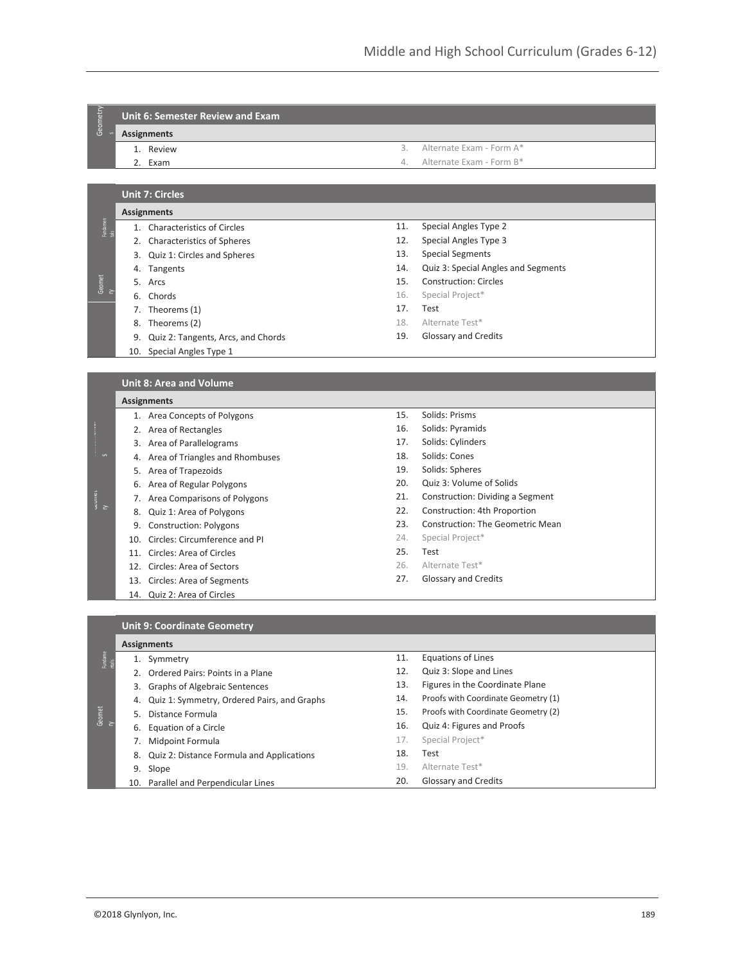# Geometry **Unit 6: Semester Review and Exam**

**Assignments**

1. Review

- 3. Alternate Exam Form A\*
- 4. Alternate Exam Form B\*

**Unit 7: Circles**

2. Exam

## **Assignments**

- $\frac{25}{12}$ 1. Characteristics of Circles
	- 2. Characteristics of Spheres
	- 3. Quiz 1: Circles and Spheres
	- 4. Tangents
	- 5. Arcs

Geomet ry

- 6. Chords
- 7. Theorems (1)
- 8. Theorems (2)
- 9. Quiz 2: Tangents, Arcs, and Chords
- 10. Special Angles Type 1
- 11. Special Angles Type 2 12. Special Angles Type 3
- 13. Special Segments
- 
- 14. Quiz 3: Special Angles and Segments
- 15. Construction: Circles
- 16. Special Project\*
- 17. Test
- 18. Alternate Test\*
- 19. Glossary and Credits

### **Unit 8: Area and Volume**

| <b>Assignments</b> |  |
|--------------------|--|

- 1. Area Concepts of Polygons
- 2. Area of Rectangles
- 3. Area of Parallelograms
- 4. Area of Triangles and Rhombuses
- 5. Area of Trapezoids
- 6. Area of Regular Polygons
- 7. Area Comparisons of Polygons
- 8. Quiz 1: Area of Polygons
- 9. Construction: Polygons
- 10. Circles: Circumference and PI
- 11. Circles: Area of Circles
- 12. Circles: Area of Sectors
- 13. Circles: Area of Segments
- 14. Quiz 2: Area of Circles
- 15. Solids: Prisms
- 16. Solids: Pyramids
- 17. Solids: Cylinders
- 18. Solids: Cones
- 19. Solids: Spheres
- 20. Quiz 3: Volume of Solids
- 21. Construction: Dividing a Segment
- 22. Construction: 4th Proportion
- 23. Construction: The Geometric Mean
- 24. Special Project\*
- 25. Test
- 26. Alternate Test\*
- 27. Glossary and Credits

| <b>Unit 9: Coordinate Geometry</b> |                    |                                             |     |                                     |  |  |
|------------------------------------|--------------------|---------------------------------------------|-----|-------------------------------------|--|--|
|                                    | <b>Assignments</b> |                                             |     |                                     |  |  |
| Fundame<br>ntals                   | 1.                 | Symmetry                                    | 11. | <b>Equations of Lines</b>           |  |  |
|                                    |                    | 2. Ordered Pairs: Points in a Plane         | 12. | Quiz 3: Slope and Lines             |  |  |
|                                    |                    | 3. Graphs of Algebraic Sentences            | 13. | Figures in the Coordinate Plane     |  |  |
|                                    | 4.                 | Quiz 1: Symmetry, Ordered Pairs, and Graphs | 14. | Proofs with Coordinate Geometry (1) |  |  |
| Geomet                             | .5.                | Distance Formula                            | 15. | Proofs with Coordinate Geometry (2) |  |  |
| е                                  | 6.                 | Equation of a Circle                        | 16. | Quiz 4: Figures and Proofs          |  |  |
|                                    |                    | Midpoint Formula                            | 17. | Special Project*                    |  |  |
|                                    | 8.                 | Quiz 2: Distance Formula and Applications   | 18. | Test                                |  |  |
|                                    | 9.                 | Slope                                       | 19. | Alternate Test*                     |  |  |
|                                    |                    | 10. Parallel and Perpendicular Lines        | 20. | Glossary and Credits                |  |  |